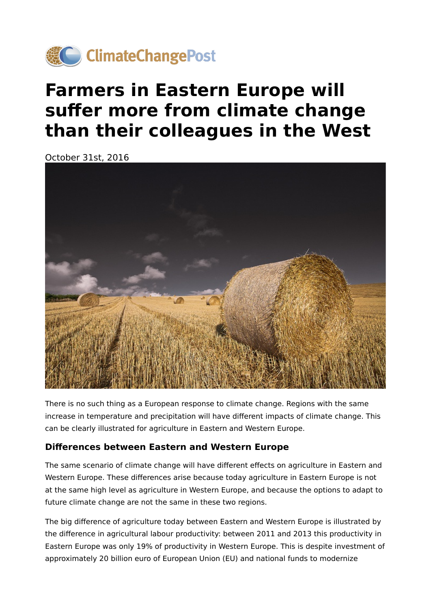

# **Farmers in Eastern Europe will suffer more from climate change than their colleagues in the West**

October 31st, 2016



There is no such thing as a European response to climate change. Regions with the same increase in temperature and precipitation will have different impacts of climate change. This can be clearly illustrated for agriculture in Eastern and Western Europe.

### **Differences between Eastern and Western Europe**

The same scenario of climate change will have different effects on agriculture in Eastern and Western Europe. These differences arise because today agriculture in Eastern Europe is not at the same high level as agriculture in Western Europe, and because the options to adapt to future climate change are not the same in these two regions.

The big difference of agriculture today between Eastern and Western Europe is illustrated by the difference in agricultural labour productivity: between 2011 and 2013 this productivity in Eastern Europe was only 19% of productivity in Western Europe. This is despite investment of approximately 20 billion euro of European Union (EU) and national funds to modernize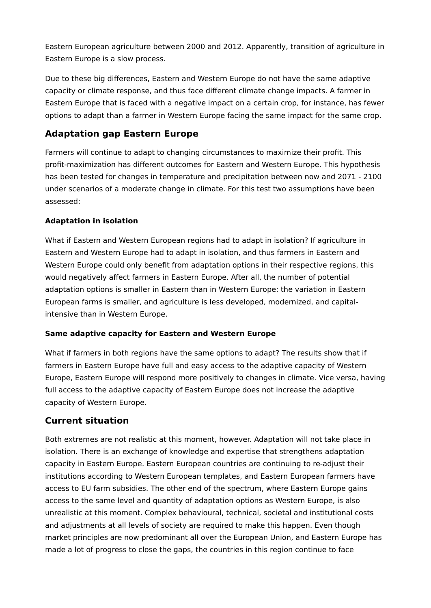Eastern European agriculture between 2000 and 2012. Apparently, transition of agriculture in Eastern Europe is a slow process.

Due to these big differences, Eastern and Western Europe do not have the same adaptive capacity or climate response, and thus face different climate change impacts. A farmer in Eastern Europe that is faced with a negative impact on a certain crop, for instance, has fewer options to adapt than a farmer in Western Europe facing the same impact for the same crop.

## **Adaptation gap Eastern Europe**

Farmers will continue to adapt to changing circumstances to maximize their profit. This profit-maximization has different outcomes for Eastern and Western Europe. This hypothesis has been tested for changes in temperature and precipitation between now and 2071 - 2100 under scenarios of a moderate change in climate. For this test two assumptions have been assessed:

#### **Adaptation in isolation**

What if Eastern and Western European regions had to adapt in isolation? If agriculture in Eastern and Western Europe had to adapt in isolation, and thus farmers in Eastern and Western Europe could only benefit from adaptation options in their respective regions, this would negatively affect farmers in Eastern Europe. After all, the number of potential adaptation options is smaller in Eastern than in Western Europe: the variation in Eastern European farms is smaller, and agriculture is less developed, modernized, and capitalintensive than in Western Europe.

#### **Same adaptive capacity for Eastern and Western Europe**

What if farmers in both regions have the same options to adapt? The results show that if farmers in Eastern Europe have full and easy access to the adaptive capacity of Western Europe, Eastern Europe will respond more positively to changes in climate. Vice versa, having full access to the adaptive capacity of Eastern Europe does not increase the adaptive capacity of Western Europe.

## **Current situation**

Both extremes are not realistic at this moment, however. Adaptation will not take place in isolation. There is an exchange of knowledge and expertise that strengthens adaptation capacity in Eastern Europe. Eastern European countries are continuing to re-adjust their institutions according to Western European templates, and Eastern European farmers have access to EU farm subsidies. The other end of the spectrum, where Eastern Europe gains access to the same level and quantity of adaptation options as Western Europe, is also unrealistic at this moment. Complex behavioural, technical, societal and institutional costs and adjustments at all levels of society are required to make this happen. Even though market principles are now predominant all over the European Union, and Eastern Europe has made a lot of progress to close the gaps, the countries in this region continue to face